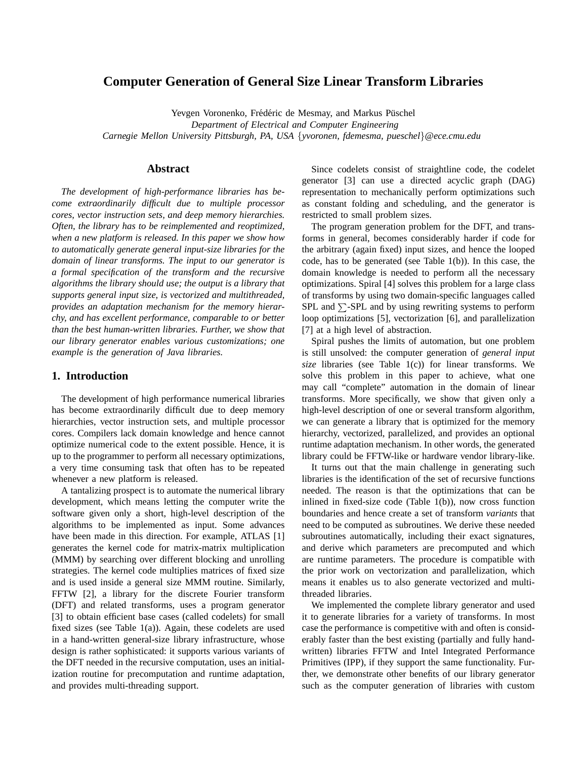# **Computer Generation of General Size Linear Transform Libraries**

Yevgen Voronenko, Frédéric de Mesmay, and Markus Püschel

*Department of Electrical and Computer Engineering*

*Carnegie Mellon University Pittsburgh, PA, USA* {*yvoronen, fdemesma, pueschel*}*@ece.cmu.edu*

### **Abstract**

*The development of high-performance libraries has become extraordinarily difficult due to multiple processor cores, vector instruction sets, and deep memory hierarchies. Often, the library has to be reimplemented and reoptimized, when a new platform is released. In this paper we show how to automatically generate general input-size libraries for the domain of linear transforms. The input to our generator is a formal specification of the transform and the recursive algorithms the library should use; the output is a library that supports general input size, is vectorized and multithreaded, provides an adaptation mechanism for the memory hierarchy, and has excellent performance, comparable to or better than the best human-written libraries. Further, we show that our library generator enables various customizations; one example is the generation of Java libraries.*

### **1. Introduction**

The development of high performance numerical libraries has become extraordinarily difficult due to deep memory hierarchies, vector instruction sets, and multiple processor cores. Compilers lack domain knowledge and hence cannot optimize numerical code to the extent possible. Hence, it is up to the programmer to perform all necessary optimizations, a very time consuming task that often has to be repeated whenever a new platform is released.

A tantalizing prospect is to automate the numerical library development, which means letting the computer write the software given only a short, high-level description of the algorithms to be implemented as input. Some advances have been made in this direction. For example, ATLAS [1] generates the kernel code for matrix-matrix multiplication (MMM) by searching over different blocking and unrolling strategies. The kernel code multiplies matrices of fixed size and is used inside a general size MMM routine. Similarly, FFTW [2], a library for the discrete Fourier transform (DFT) and related transforms, uses a program generator [3] to obtain efficient base cases (called codelets) for small fixed sizes (see Table 1(a)). Again, these codelets are used in a hand-written general-size library infrastructure, whose design is rather sophisticated: it supports various variants of the DFT needed in the recursive computation, uses an initialization routine for precomputation and runtime adaptation, and provides multi-threading support.

Since codelets consist of straightline code, the codelet generator [3] can use a directed acyclic graph (DAG) representation to mechanically perform optimizations such as constant folding and scheduling, and the generator is restricted to small problem sizes.

The program generation problem for the DFT, and transforms in general, becomes considerably harder if code for the arbitrary (again fixed) input sizes, and hence the looped code, has to be generated (see Table 1(b)). In this case, the domain knowledge is needed to perform all the necessary optimizations. Spiral [4] solves this problem for a large class of transforms by using two domain-specific languages called SPL and  $\Sigma$ -SPL and by using rewriting systems to perform loop optimizations [5], vectorization [6], and parallelization [7] at a high level of abstraction.

Spiral pushes the limits of automation, but one problem is still unsolved: the computer generation of *general input size* libraries (see Table 1(c)) for linear transforms. We solve this problem in this paper to achieve, what one may call "complete" automation in the domain of linear transforms. More specifically, we show that given only a high-level description of one or several transform algorithm, we can generate a library that is optimized for the memory hierarchy, vectorized, parallelized, and provides an optional runtime adaptation mechanism. In other words, the generated library could be FFTW-like or hardware vendor library-like.

It turns out that the main challenge in generating such libraries is the identification of the set of recursive functions needed. The reason is that the optimizations that can be inlined in fixed-size code (Table 1(b)), now cross function boundaries and hence create a set of transform *variants* that need to be computed as subroutines. We derive these needed subroutines automatically, including their exact signatures, and derive which parameters are precomputed and which are runtime parameters. The procedure is compatible with the prior work on vectorization and parallelization, which means it enables us to also generate vectorized and multithreaded libraries.

We implemented the complete library generator and used it to generate libraries for a variety of transforms. In most case the performance is competitive with and often is considerably faster than the best existing (partially and fully handwritten) libraries FFTW and Intel Integrated Performance Primitives (IPP), if they support the same functionality. Further, we demonstrate other benefits of our library generator such as the computer generation of libraries with custom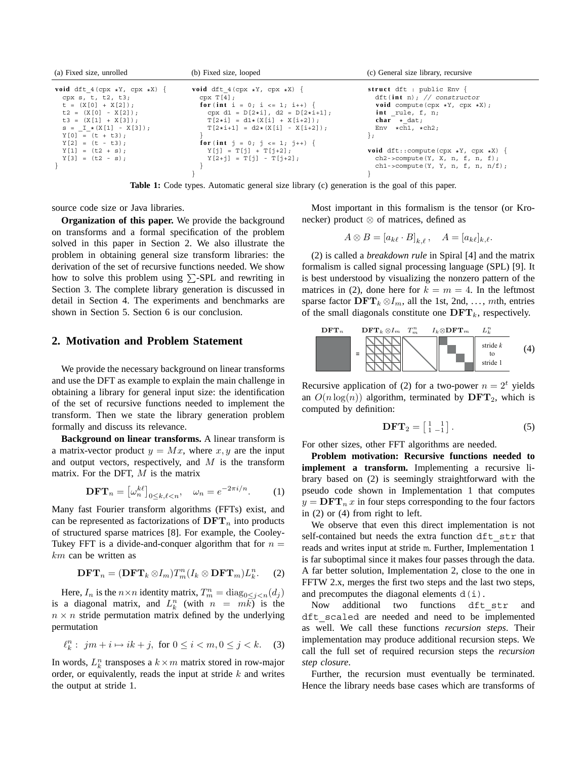| (a) Fixed size, unrolled            | (b) Fixed size, looped                     | (c) General size library, recursive<br>struct $dft$ : public Env { |  |
|-------------------------------------|--------------------------------------------|--------------------------------------------------------------------|--|
| void dft 4 (cpx $*Y$ , cpx $*X$ ) { | void dft 4 (cpx $*Y$ , cpx $*X$ ) {        |                                                                    |  |
| cpx $s, t, t2, t3;$                 | cpx T[4];                                  | dft(int n); // constructor                                         |  |
| $t = (X[0] + X[2])$ ;               | for (int i = 0; i <= 1; i++) {             | <b>void</b> compute $(\text{cpx } *Y, \text{cpx } *X);$            |  |
| $t2 = (X[0] - X[2])$ ;              | cpx d1 = $D[2*1]$ , d2 = $D[2*1+1]$ ;      | int rule, $f$ , $n$ ;                                              |  |
| $t3 = (X[1] + X[3])$ ;              | $T[2 \star i] = d1 \star (X[i] + X[i+2]);$ | $char * dat;$                                                      |  |
| $s = I \star (X[1] - X[3]);$        | $T[2+i+1] = d2*(X[i] - X[i+2]);$           | Env $\star$ ch1, $\star$ ch2;                                      |  |
| $Y[0] = (t + t3);$                  |                                            | ∤ :                                                                |  |
| $Y[2] = (t - t3);$                  | for (int $j = 0; j \le 1; j++)$            |                                                                    |  |
| $Y[1] = (t2 + s);$                  | $Y[i] = T[i] + T[i+2];$                    | void $dft::compute(cpx *Y, cpx *X)$ {                              |  |
| $Y[3] = (t2 - s);$                  | $Y[2+i] = T[i] - T[i+2]$ ;                 | $ch2$ ->compute(Y, X, n, f, n, f);                                 |  |
|                                     |                                            | $ch1$ ->compute(Y, Y, n, f, n, n/f);                               |  |
|                                     |                                            |                                                                    |  |

**Table 1:** Code types. Automatic general size library (c) generation is the goal of this paper.

source code size or Java libraries.

**Organization of this paper.** We provide the background on transforms and a formal specification of the problem solved in this paper in Section 2. We also illustrate the problem in obtaining general size transform libraries: the derivation of the set of recursive functions needed. We show how to solve this problem using  $\Sigma$ -SPL and rewriting in Section 3. The complete library generation is discussed in detail in Section 4. The experiments and benchmarks are shown in Section 5. Section 6 is our conclusion.

### **2. Motivation and Problem Statement**

We provide the necessary background on linear transforms and use the DFT as example to explain the main challenge in obtaining a library for general input size: the identification of the set of recursive functions needed to implement the transform. Then we state the library generation problem formally and discuss its relevance.

**Background on linear transforms.** A linear transform is a matrix-vector product  $y = Mx$ , where x, y are the input and output vectors, respectively, and  $M$  is the transform matrix. For the DFT,  $M$  is the matrix

$$
\mathbf{DFT}_n = \left[\omega_n^{k\ell}\right]_{0 \le k,\ell < n}, \quad \omega_n = e^{-2\pi i/n}.\tag{1}
$$

Many fast Fourier transform algorithms (FFTs) exist, and can be represented as factorizations of  $\text{DFT}_n$  into products of structured sparse matrices [8]. For example, the Cooley-Tukey FFT is a divide-and-conquer algorithm that for  $n =$ km can be written as

$$
\mathbf{DFT}_n = (\mathbf{DFT}_k \otimes I_m) T_m^n (I_k \otimes \mathbf{DFT}_m) L_k^n. \tag{2}
$$

Here,  $I_n$  is the  $n \times n$  identity matrix,  $T_m^n = \text{diag}_{0 \leq j < n}(d_j)$ is a diagonal matrix, and  $L_k^n$  (with  $n = m\overline{k}$ ) is the  $n \times n$  stride permutation matrix defined by the underlying permutation

$$
\ell_k^n: jm + i \mapsto ik + j, \text{ for } 0 \le i < m, 0 \le j < k. \tag{3}
$$

In words,  $L_k^n$  transposes a  $k \times m$  matrix stored in row-major order, or equivalently, reads the input at stride  $k$  and writes the output at stride 1.

Most important in this formalism is the tensor (or Kronecker) product ⊗ of matrices, defined as

$$
A\otimes B=[a_{k\ell}\cdot B]_{k,\ell},\quad A=[a_{k\ell}]_{k,\ell}.
$$

(2) is called a *breakdown rule* in Spiral [4] and the matrix formalism is called signal processing language (SPL) [9]. It is best understood by visualizing the nonzero pattern of the matrices in (2), done here for  $k = m = 4$ . In the leftmost sparse factor  $\mathbf{DFT}_k \otimes I_m$ , all the 1st, 2nd, ..., mth, entries of the small diagonals constitute one  $\text{DFT}_k$ , respectively.



Recursive application of (2) for a two-power  $n = 2<sup>t</sup>$  yields an  $O(n \log(n))$  algorithm, terminated by  $\text{DFT}_2$ , which is computed by definition:

$$
\mathbf{DFT}_2 = \begin{bmatrix} 1 & 1 \\ 1 & -1 \end{bmatrix} . \tag{5}
$$

For other sizes, other FFT algorithms are needed.

**Problem motivation: Recursive functions needed to implement a transform.** Implementing a recursive library based on (2) is seemingly straightforward with the pseudo code shown in Implementation 1 that computes  $y = DFT_n x$  in four steps corresponding to the four factors in (2) or (4) from right to left.

We observe that even this direct implementation is not self-contained but needs the extra function dft str that reads and writes input at stride m. Further, Implementation 1 is far suboptimal since it makes four passes through the data. A far better solution, Implementation 2, close to the one in FFTW 2.x, merges the first two steps and the last two steps, and precomputes the diagonal elements  $d(i)$ .

Now additional two functions dft\_str and dft scaled are needed and need to be implemented as well. We call these functions *recursion steps*. Their implementation may produce additional recursion steps. We call the full set of required recursion steps the *recursion step closure*.

Further, the recursion must eventually be terminated. Hence the library needs base cases which are transforms of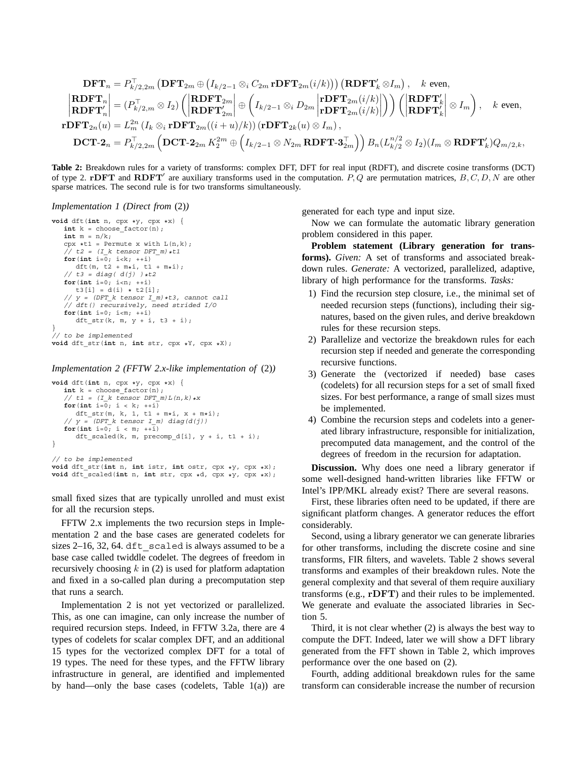$$
\begin{aligned}\n\textbf{DFT}_n &= P_{k/2,2m}^\top \left( \textbf{DFT}_{2m} \oplus \left( I_{k/2-1} \otimes_i C_{2m} \, \textbf{rDFT}_{2m}(i/k) \right) \right) \left( \textbf{RDFT}_k' \otimes I_m \right), \quad k \text{ even}, \\
\textbf{RDFT}_n \Big| &= \left( P_{k/2,m}^\top \otimes I_2 \right) \left( \begin{vmatrix} \textbf{RDFT}_{2m} \\ \textbf{RDFT}_{2m} \end{vmatrix} \oplus \left( I_{k/2-1} \otimes_i D_{2m} \begin{vmatrix} \textbf{rDFT}_{2m}(i/k) \\ \textbf{rDFT}_{2m}(i/k) \end{vmatrix} \right) \right) \left( \begin{vmatrix} \textbf{RDFT}_k' \\ \textbf{RDFT}_k' \end{vmatrix} \otimes I_m \right), \quad k \text{ even}, \\
\textbf{rDFT}_{2n}(u) &= L_m^{2n} \left( I_k \otimes_i \textbf{rDFT}_{2m}((i+u)/k) \right) \left( \textbf{rDFT}_{2k}(u) \otimes I_m \right), \\
\textbf{DCT-2}_n &= P_{k/2,2m}^\top \left( \textbf{DCT-2}_{2m} K_2^{2m} \oplus \left( I_{k/2-1} \otimes N_{2m} \, \textbf{RDFT-3}_{2m}^\top \right) \right) B_n (L_{k/2}^{n/2} \otimes I_2) (I_m \otimes \textbf{RDFT}_k') Q_{m/2,k},\n\end{aligned}
$$

**Table 2:** Breakdown rules for a variety of transforms: complex DFT, DFT for real input (RDFT), and discrete cosine transforms (DCT) of type 2. **rDFT** and **RDFT** are auxiliary transforms used in the computation. *P, Q* are permutation matrices, *B, C, D, N* are other sparse matrices. The second rule is for two transforms simultaneously.

#### *Implementation 1 (Direct from* (2)*)*

```
void dft(int n, cpx *y, cpx *x) {
    int k = choose_factor(n);
    int m = n/k;
    cpx *t1 = Permute x with L(n,k);
    // t2 = (I \t k tensor DFT m)*t1for(int i=\overline{0}; i< k; +i)
       \begin{array}{lcl} \texttt{dft}\left(\mathfrak{m}, \texttt{ t2 + m{\text{\tiny{*}}}i }, \texttt{ t1 + m{\text{\tiny{*}}}i }\right); \end{array}// t3 = diag(d(j)) t t2for(int i=0; i<n; ++i)
       t3[i] = d(i) * t2[i];// y = (DFT k tensor I_m)*t3, cannot call
    // dft() recursively, need strided I/O
    for(int i=0; i<m; ++i)
       dft_str(k, m, y + i, t3 + i);
}
// to be implemented
```

```
void dft_str(int n, int str, cpx *Y, cpx *X);
```
#### *Implementation 2 (FFTW 2.x-like implementation of* (2)*)*

```
void dft(int n, cpx *y, cpx *x) {
   int k = choose factor(n);// t1 = (I_k \t tensor DFT_m) L(n,k) \star xfor(int i=\overline{0}; i < k; +i\overline{)}dft str(m, k, 1, t1 + m*i, x + m*i);
    // y = (DFT k tensor I m) diag(d(j))
   for(int i=0; i < m; +i\overline{1})
       dft_scaled(k, m, precomp_d[i], y + i, t1 + i);
}
// to be implemented
void dft_str(int n, int istr, int ostr, cpx *y, cpx *x);
void dft_scaled(int n, int str, cpx *d, cpx *y, cpx *x);
```
small fixed sizes that are typically unrolled and must exist for all the recursion steps.

FFTW 2.x implements the two recursion steps in Implementation 2 and the base cases are generated codelets for sizes  $2-16$ , 32, 64. dft scaled is always assumed to be a base case called twiddle codelet. The degrees of freedom in recursively choosing  $k$  in (2) is used for platform adaptation and fixed in a so-called plan during a precomputation step that runs a search.

Implementation 2 is not yet vectorized or parallelized. This, as one can imagine, can only increase the number of required recursion steps. Indeed, in FFTW 3.2a, there are 4 types of codelets for scalar complex DFT, and an additional 15 types for the vectorized complex DFT for a total of 19 types. The need for these types, and the FFTW library infrastructure in general, are identified and implemented by hand—only the base cases (codelets, Table  $1(a)$ ) are generated for each type and input size.

Now we can formulate the automatic library generation problem considered in this paper.

**Problem statement (Library generation for transforms).** *Given:* A set of transforms and associated breakdown rules. *Generate:* A vectorized, parallelized, adaptive, library of high performance for the transforms. *Tasks:*

- 1) Find the recursion step closure, i.e., the minimal set of needed recursion steps (functions), including their signatures, based on the given rules, and derive breakdown rules for these recursion steps.
- 2) Parallelize and vectorize the breakdown rules for each recursion step if needed and generate the corresponding recursive functions.
- 3) Generate the (vectorized if needed) base cases (codelets) for all recursion steps for a set of small fixed sizes. For best performance, a range of small sizes must be implemented.
- 4) Combine the recursion steps and codelets into a generated library infrastructure, responsible for initialization, precomputed data management, and the control of the degrees of freedom in the recursion for adaptation.

**Discussion.** Why does one need a library generator if some well-designed hand-written libraries like FFTW or Intel's IPP/MKL already exist? There are several reasons.

First, these libraries often need to be updated, if there are significant platform changes. A generator reduces the effort considerably.

Second, using a library generator we can generate libraries for other transforms, including the discrete cosine and sine transforms, FIR filters, and wavelets. Table 2 shows several transforms and examples of their breakdown rules. Note the general complexity and that several of them require auxiliary transforms (e.g., **rDFT**) and their rules to be implemented. We generate and evaluate the associated libraries in Section 5.

Third, it is not clear whether (2) is always the best way to compute the DFT. Indeed, later we will show a DFT library generated from the FFT shown in Table 2, which improves performance over the one based on (2).

Fourth, adding additional breakdown rules for the same transform can considerable increase the number of recursion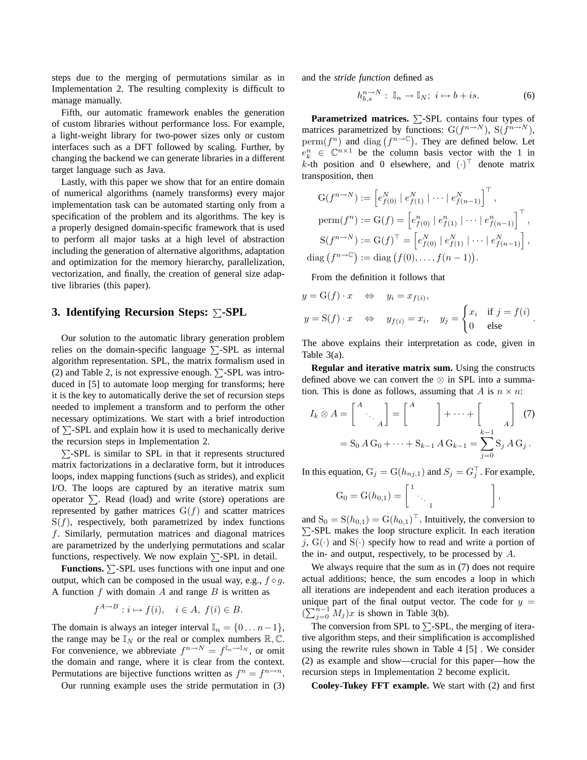steps due to the merging of permutations similar as in Implementation 2. The resulting complexity is difficult to manage manually.

Fifth, our automatic framework enables the generation of custom libraries without performance loss. For example, a light-weight library for two-power sizes only or custom interfaces such as a DFT followed by scaling. Further, by changing the backend we can generate libraries in a different target language such as Java.

Lastly, with this paper we show that for an entire domain of numerical algorithms (namely transforms) every major implementation task can be automated starting only from a specification of the problem and its algorithms. The key is a properly designed domain-specific framework that is used to perform all major tasks at a high level of abstraction including the generation of alternative algorithms, adaptation and optimization for the memory hierarchy, parallelization, vectorization, and finally, the creation of general size adaptive libraries (this paper).

### **3. Identifying Recursion Steps:**  $\Sigma$ **-SPL**

Our solution to the automatic library generation problem relies on the domain-specific language  $\Sigma$ -SPL as internal algorithm representation. SPL, the matrix formalism used in (2) and Table 2, is not expressive enough.  $\Sigma$ -SPL was introduced in [5] to automate loop merging for transforms; here it is the key to automatically derive the set of recursion steps needed to implement a transform and to perform the other necessary optimizations. We start with a brief introduction of  $\Sigma$ -SPL and explain how it is used to mechanically derive the recursion steps in Implementation 2.

 $\Sigma$ -SPL is similar to SPL in that it represents structured matrix factorizations in a declarative form, but it introduces loops, index mapping functions (such as strides), and explicit I/O. The loops are captured by an iterative matrix sum operator  $\Sigma$ . Read (load) and write (store) operations are represented by gather matrices  $G(f)$  and scatter matrices  $S(f)$ , respectively, both parametrized by index functions f. Similarly, permutation matrices and diagonal matrices are parametrized by the underlying permutations and scalar functions, respectively. We now explain  $\Sigma$ -SPL in detail.

**Functions.**  $\Sigma$ -SPL uses functions with one input and one output, which can be composed in the usual way, e.g.,  $f \circ g$ . A function f with domain A and range B is written as

$$
f^{A\to B}: i \mapsto f(i), \quad i \in A, f(i) \in B.
$$

The domain is always an integer interval  $\mathbb{I}_n = \{0 \dots n-1\},\$ the range may be  $\mathbb{I}_N$  or the real or complex numbers  $\mathbb{R}, \mathbb{C}$ . For convenience, we abbreviate  $f^{n\to N} = f^{\mathbb{I}_n \to \mathbb{I}_N}$ , or omit the domain and range, where it is clear from the context. Permutations are bijective functions written as  $f^n = f^{n \to n}$ .

Our running example uses the stride permutation in (3)

and the *stride function* defined as

$$
h_{b,s}^{n \to N} : \mathbb{I}_n \to \mathbb{I}_N; \ i \mapsto b + is. \tag{6}
$$

**Parametrized matrices.**  $\Sigma$ -SPL contains four types of matrices parametrized by functions: G( $f^{n \to N}$ ), S( $f^{n \to N}$ ), perm $(f^n)$  and diag  $(f^{n\to\mathbb{C}})$ . They are defined below. Let  $e_k^n \in \mathbb{C}^{n \times 1}$  be the column basis vector with the 1 in k-th position and 0 elsewhere, and  $(\cdot)^{\top}$  denote matrix transposition, then

$$
G(f^{n \to N}) := [e_{f(0)}^N \mid e_{f(1)}^N \mid \dots \mid e_{f(n-1)}^N]^\top,
$$
  
\n
$$
perm(f^n) := G(f) = [e_{f(0)}^n \mid e_{f(1)}^n \mid \dots \mid e_{f(n-1)}^n]^\top,
$$
  
\n
$$
S(f^{n \to N}) := G(f)^\top = [e_{f(0)}^N \mid e_{f(1)}^N \mid \dots \mid e_{f(n-1)}^N],
$$
  
\n
$$
diag(f^{n \to C}) := diag(f(0), \dots, f(n-1)).
$$

From the definition it follows that

$$
y = G(f) \cdot x \quad \Leftrightarrow \quad y_i = x_{f(i)},
$$
  

$$
y = S(f) \cdot x \quad \Leftrightarrow \quad y_{f(i)} = x_i, \quad y_j = \begin{cases} x_i & \text{if } j = f(i) \\ 0 & \text{else} \end{cases}.
$$

The above explains their interpretation as code, given in Table 3(a).

**Regular and iterative matrix sum.** Using the constructs defined above we can convert the ⊗ in SPL into a summation. This is done as follows, assuming that A is  $n \times n$ :

$$
I_k \otimes A = \begin{bmatrix} A \\ \ddots \\ A \end{bmatrix} = \begin{bmatrix} A \\ \vdots \\ A \end{bmatrix} + \dots + \begin{bmatrix} A \\ \vdots \\ A \end{bmatrix} \tag{7}
$$

$$
= S_0 A G_0 + \dots + S_{k-1} A G_{k-1} = \sum_{j=0}^{k-1} S_j A G_j.
$$

In this equation,  $G_j = G(h_{nj,1})$  and  $S_j = G_j^{\perp}$ . For example,

$$
G_0 = G(h_{0,1}) = \begin{bmatrix} 1 & & & \\ & \ddots & & \\ & & 1 & \end{bmatrix},
$$

and  $S_0 = S(h_{0,1}) = G(h_{0,1})^\top$ . Intuitively, the conversion to  $\Sigma$ -SPL makes the loop structure explicit. In each iteration j,  $G(\cdot)$  and  $S(\cdot)$  specify how to read and write a portion of the in- and output, respectively, to be processed by A.

We always require that the sum as in  $(7)$  does not require actual additions; hence, the sum encodes a loop in which all iterations are independent and each iteration produces a unique part of the final output vector. The code for  $y =$  $(\sum_{j=0}^{n-1} M_j)x$  is shown in Table 3(b).

The conversion from SPL to  $\Sigma$ -SPL, the merging of iterative algorithm steps, and their simplification is accomplished using the rewrite rules shown in Table 4 [5] . We consider (2) as example and show—crucial for this paper—how the recursion steps in Implementation 2 become explicit.

**Cooley-Tukey FFT example.** We start with (2) and first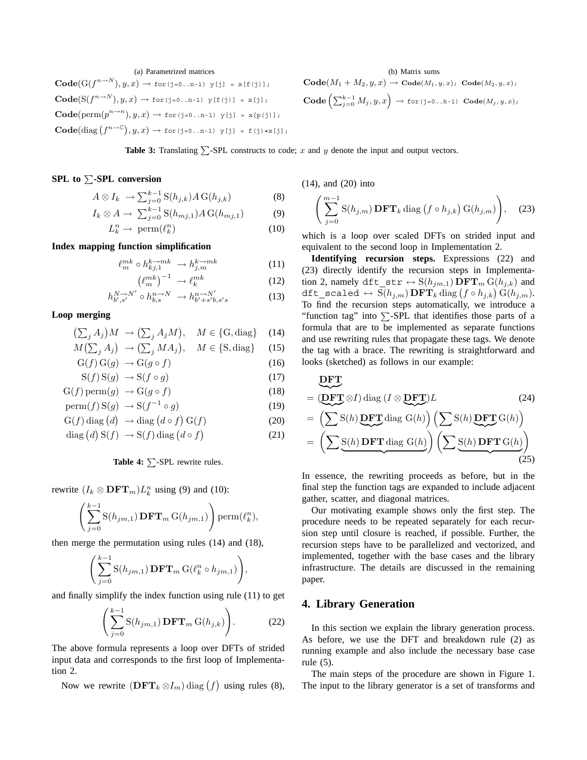## (a) Parametrized matrices

 $\text{Code}(G(f^{n\to N}), y, x) \to \text{for}(j=0..n-1)$   $y[j] = x[f(j)],$  $\mathbf{Code}(\mathrm{S}(f^{n\to N}), y, x) \to \text{for}(j=0..n-1)$   $\mathrm{y[f(j)]} = \mathrm{x[j]},$  $\text{Code}(\text{perm}(p^{n\to n}), y, x) \to \text{for}(j=0..n-1)$  y[j] = x[p(j)];  $\mathbf{Code}(\mathrm{diag}\left(f^{n\to\mathbb{C}}\right),y,x)\to \mathtt{for}(\mathtt{j=0..n-1})$  y[j] = f(j)\*x[j];

(b) Matrix sums  
\n
$$
\operatorname{Code}(M_1 + M_2, y, x) \to \operatorname{Code}(M_1, y, x); \operatorname{Code}(M_2, y, x);
$$
\n
$$
\operatorname{Code}\left(\sum_{j=0}^{k-1} M_j, y, x\right) \to \operatorname{for}(j=0..k-1) \operatorname{Code}(M_j, y, x);
$$

**Table 3:** Translating  $\sum$ -SPL constructs to code; *x* and *y* denote the input and output vectors.

### **SPL to**  $\Sigma$ **-SPL conversion**

$$
A \otimes I_k \longrightarrow \sum_{j=0}^{k-1} \mathcal{S}(h_{j,k}) A \mathcal{G}(h_{j,k})
$$
 (8)

$$
I_k \otimes A \to \sum_{j=0}^{k-1} S(h_{mj,1}) A G(h_{mj,1})
$$
 (9)

$$
L_k^n \to \text{perm}(\ell_k^n) \tag{10}
$$

### **Index mapping function simplification**

$$
\ell_m^{mk} \circ h_{kj,1}^{k \to mk} \to h_{j,m}^{k \to mk} \tag{11}
$$

$$
\left(\ell_m^{mk}\right)^{-1} \to \ell_k^{mk} \tag{12}
$$

$$
h_{b',s'}^{N \to N'} \circ h_{b,s}^{n \to N} \to h_{b'+s'b,s's}^{n \to N'} \tag{13}
$$

#### **Loop merging**

$$
\left(\sum_{j} A_{j}\right)M \rightarrow \left(\sum_{j} A_{j}M\right), \quad M \in \{\text{G}, \text{diag}\}\tag{14}
$$

$$
M\left(\sum_{j} A_{j}\right) \rightarrow \left(\sum_{j} M A_{j}\right), \quad M \in \{\text{S}, \text{diag}\} \tag{15}
$$

$$
G(f) G(g) \rightarrow G(g \circ f) \tag{16}
$$

$$
S(f)S(g) \to S(f \circ g) \tag{17}
$$

$$
G(f) \text{perm}(g) \rightarrow G(g \circ f) \tag{18}
$$

$$
\operatorname{perm}(f) \operatorname{S}(g) \to \operatorname{S}(f^{-1} \circ g) \tag{19}
$$

$$
G(f) diag (d) \rightarrow diag (d \circ f) G(f) \qquad (20)
$$

$$
diag (d) S(f) \rightarrow S(f) diag (d \circ f)
$$
 (21)

**Table 4:**  $\Sigma$ -SPL rewrite rules.

rewrite  $(I_k \otimes \mathbf{DFT}_m)L_k^n$  using (9) and (10):

$$
\left(\sum_{j=0}^{k-1} \mathcal{S}(h_{jm,1}) \mathbf{DFT}_m \, \mathcal{G}(h_{jm,1})\right) \operatorname{perm}(\ell^n_k),
$$

then merge the permutation using rules (14) and (18),

$$
\left(\sum_{j=0}^{k-1} \mathcal{S}(h_{jm,1}) \mathbf{DFT}_m \, \mathcal{G}(\ell_k^n \circ h_{jm,1})\right),\,
$$

and finally simplify the index function using rule (11) to get

$$
\left(\sum_{j=0}^{k-1} \mathcal{S}(h_{jm,1}) \mathbf{DFT}_m \mathcal{G}(h_{j,k})\right).
$$
 (22)

The above formula represents a loop over DFTs of strided input data and corresponds to the first loop of Implementation 2.

Now we rewrite  $(DFT_k \otimes I_m)$  diag  $(f)$  using rules (8),

(14), and (20) into

$$
\left(\sum_{j=0}^{m-1} \mathcal{S}(h_{j,m}) \mathbf{DFT}_k \operatorname{diag}\left(f \circ h_{j,k}\right) \mathcal{G}(h_{j,m})\right),\tag{23}
$$

which is a loop over scaled DFTs on strided input and equivalent to the second loop in Implementation 2.

**Identifying recursion steps.** Expressions (22) and (23) directly identify the recursion steps in Implementation 2, namely dft\_str  $\leftrightarrow$  S( $h_{jm,1}$ ) **DFT**<sub>m</sub> G( $h_{j,k}$ ) and  $\texttt{dft\_scaled} \, \leftrightarrow \, \text{S}(h_{j,m})\, \textbf{DFT}_k \, \text{diag}\left(f \circ h_{j,k}\right) \text{G}(h_{j,m}).$ To find the recursion steps automatically, we introduce a "function tag" into  $\Sigma$ -SPL that identifies those parts of a formula that are to be implemented as separate functions and use rewriting rules that propagate these tags. We denote the tag with a brace. The rewriting is straightforward and looks (sketched) as follows in our example:

$$
\begin{aligned}\n& \underbrace{\mathbf{DFT}}_{\mathbf{DFT}} \\
&= (\underbrace{\mathbf{DFT}}_{\mathbf{DFT}} \otimes I) \operatorname{diag} (I \otimes \mathbf{DFT}) L \qquad (24) \\
&= (\sum S(h) \underbrace{\mathbf{DFT}}_{\mathbf{DFT}} \operatorname{diag} G(h)) (\sum S(h) \underbrace{\mathbf{DFT}}_{\mathbf{DFT}} G(h)) \\
&= (\sum S(h) \mathbf{DFT} \operatorname{diag} G(h)) (\sum S(h) \mathbf{DFT} G(h)) \qquad (25)\n\end{aligned}
$$

In essence, the rewriting proceeds as before, but in the final step the function tags are expanded to include adjacent gather, scatter, and diagonal matrices.

Our motivating example shows only the first step. The procedure needs to be repeated separately for each recursion step until closure is reached, if possible. Further, the recursion steps have to be parallelized and vectorized, and implemented, together with the base cases and the library infrastructure. The details are discussed in the remaining paper.

### **4. Library Generation**

In this section we explain the library generation process. As before, we use the DFT and breakdown rule (2) as running example and also include the necessary base case rule (5).

The main steps of the procedure are shown in Figure 1. The input to the library generator is a set of transforms and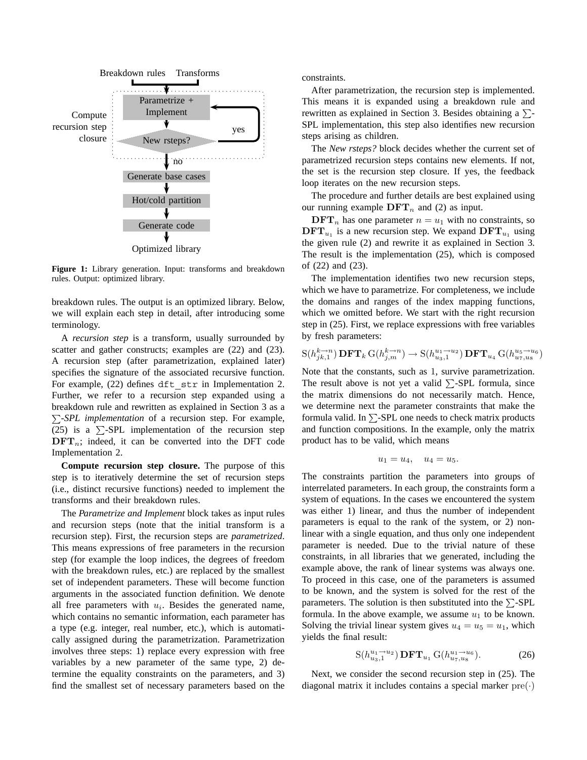

**Figure 1:** Library generation. Input: transforms and breakdown rules. Output: optimized library.

breakdown rules. The output is an optimized library. Below, we will explain each step in detail, after introducing some terminology.

A *recursion step* is a transform, usually surrounded by scatter and gather constructs; examples are  $(22)$  and  $(23)$ . A recursion step (after parametrization, explained later) specifies the signature of the associated recursive function. For example, (22) defines dft str in Implementation 2. Further, we refer to a recursion step expanded using a breakdown rule and rewritten as explained in Section 3 as a  $\Sigma$ -*SPL implementation* of a recursion step. For example, (25) is a  $\Sigma$ -SPL implementation of the recursion step  $\text{DFT}_n$ ; indeed, it can be converted into the DFT code Implementation 2.

**Compute recursion step closure.** The purpose of this step is to iteratively determine the set of recursion steps (i.e., distinct recursive functions) needed to implement the transforms and their breakdown rules.

The *Parametrize and Implement* block takes as input rules and recursion steps (note that the initial transform is a recursion step). First, the recursion steps are *parametrized*. This means expressions of free parameters in the recursion step (for example the loop indices, the degrees of freedom with the breakdown rules, etc.) are replaced by the smallest set of independent parameters. These will become function arguments in the associated function definition. We denote all free parameters with  $u_i$ . Besides the generated name, which contains no semantic information, each parameter has a type (e.g. integer, real number, etc.), which is automatically assigned during the parametrization. Parametrization involves three steps: 1) replace every expression with free variables by a new parameter of the same type, 2) determine the equality constraints on the parameters, and 3) find the smallest set of necessary parameters based on the constraints.

After parametrization, the recursion step is implemented. This means it is expanded using a breakdown rule and rewritten as explained in Section 3. Besides obtaining a  $\Sigma$ -SPL implementation, this step also identifies new recursion steps arising as children.

The *New rsteps?* block decides whether the current set of parametrized recursion steps contains new elements. If not, the set is the recursion step closure. If yes, the feedback loop iterates on the new recursion steps.

The procedure and further details are best explained using our running example  $\text{DFT}_n$  and (2) as input.

 $\text{DFT}_n$  has one parameter  $n = u_1$  with no constraints, so  $\text{DFT}_{u_1}$  is a new recursion step. We expand  $\text{DFT}_{u_1}$  using the given rule (2) and rewrite it as explained in Section 3. The result is the implementation (25), which is composed of (22) and (23).

The implementation identifies two new recursion steps, which we have to parametrize. For completeness, we include the domains and ranges of the index mapping functions, which we omitted before. We start with the right recursion step in (25). First, we replace expressions with free variables by fresh parameters:

$$
S(h_{jk,1}^{k\to n})\mathbf{DFT}_k\operatorname{G}(h_{j,m}^{k\to n}) \to S(h_{u_3,1}^{u_1\to u_2})\mathbf{DFT}_{u_4}\operatorname{G}(h_{u_7,u_8}^{u_5\to u_6})
$$

Note that the constants, such as 1, survive parametrization. The result above is not yet a valid  $\Sigma$ -SPL formula, since the matrix dimensions do not necessarily match. Hence, we determine next the parameter constraints that make the formula valid. In  $\Sigma$ -SPL one needs to check matrix products and function compositions. In the example, only the matrix product has to be valid, which means

$$
u_1=u_4,\quad u_4=u_5.
$$

The constraints partition the parameters into groups of interrelated parameters. In each group, the constraints form a system of equations. In the cases we encountered the system was either 1) linear, and thus the number of independent parameters is equal to the rank of the system, or 2) nonlinear with a single equation, and thus only one independent parameter is needed. Due to the trivial nature of these constraints, in all libraries that we generated, including the example above, the rank of linear systems was always one. To proceed in this case, one of the parameters is assumed to be known, and the system is solved for the rest of the parameters. The solution is then substituted into the  $\Sigma$ -SPL formula. In the above example, we assume  $u_1$  to be known. Solving the trivial linear system gives  $u_4 = u_5 = u_1$ , which yields the final result:

$$
S(h_{u_3,1}^{u_1 \to u_2}) \mathbf{DFT}_{u_1} G(h_{u_7,u_8}^{u_1 \to u_6}). \tag{26}
$$

Next, we consider the second recursion step in (25). The diagonal matrix it includes contains a special marker  $pre(\cdot)$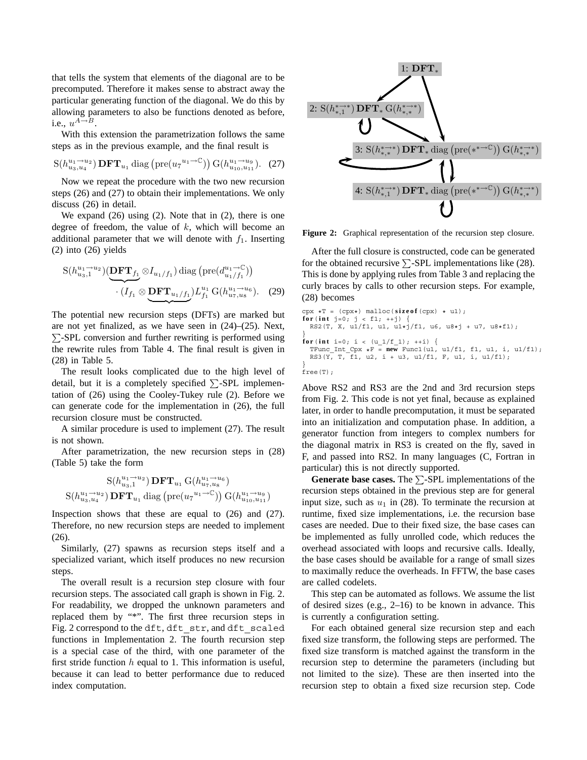that tells the system that elements of the diagonal are to be precomputed. Therefore it makes sense to abstract away the particular generating function of the diagonal. We do this by allowing parameters to also be functions denoted as before, i.e.,  $u^{A\rightarrow B}$ .

With this extension the parametrization follows the same steps as in the previous example, and the final result is

$$
S(h_{u_3, u_4}^{u_1 \to u_2}) \mathbf{DFT}_{u_1} \operatorname{diag} (\mathrm{pre}(u_7^{u_1 \to \mathbb{C}})) G(h_{u_{10}, u_{11}}^{u_1 \to u_9}). \quad (27)
$$

Now we repeat the procedure with the two new recursion steps (26) and (27) to obtain their implementations. We only discuss (26) in detail.

We expand  $(26)$  using  $(2)$ . Note that in  $(2)$ , there is one degree of freedom, the value of  $k$ , which will become an additional parameter that we will denote with  $f_1$ . Inserting (2) into (26) yields

$$
S(h_{u_3,1}^{u_1 \to u_2})\left(\underbrace{\mathbf{DFT}_{f_1}}_{\cdot} \otimes I_{u_1/f_1}\right) \text{diag}\left(\text{pre}(d_{u_1/f_1}^{u_1 \to \mathbb{C}})\right) \cdot (I_{f_1} \otimes \underbrace{\mathbf{DFT}_{u_1/f_1}}_{\cdot} )L_{f_1}^{u_1} \text{G}(h_{u_7,u_8}^{u_1 \to u_6}). \quad (29)
$$

The potential new recursion steps (DFTs) are marked but are not yet finalized, as we have seen in (24)–(25). Next,  $\Sigma$ -SPL conversion and further rewriting is performed using the rewrite rules from Table 4. The final result is given in (28) in Table 5.

The result looks complicated due to the high level of detail, but it is a completely specified  $\Sigma$ -SPL implementation of (26) using the Cooley-Tukey rule (2). Before we can generate code for the implementation in (26), the full recursion closure must be constructed.

A similar procedure is used to implement (27). The result is not shown.

After parametrization, the new recursion steps in (28) (Table 5) take the form

$$
\frac{S(h_{u_3,1}^{u_1 \to u_2}) \mathbf{DFT}_{u_1} G(h_{u_7,u_8}^{u_1 \to u_6})}{S(h_{u_3,u_4}^{u_1 \to u_2}) \mathbf{DFT}_{u_1} \operatorname{diag}(\text{pre}(u_7^{u_1 \to C})) G(h_{u_{10},u_{11}}^{u_1 \to u_9})
$$

Inspection shows that these are equal to (26) and (27). Therefore, no new recursion steps are needed to implement (26).

Similarly, (27) spawns as recursion steps itself and a specialized variant, which itself produces no new recursion steps.

The overall result is a recursion step closure with four recursion steps. The associated call graph is shown in Fig. 2. For readability, we dropped the unknown parameters and replaced them by "\*". The first three recursion steps in Fig. 2 correspond to the dft, dft\_str, and dft\_scaled functions in Implementation 2. The fourth recursion step is a special case of the third, with one parameter of the first stride function  $h$  equal to 1. This information is useful, because it can lead to better performance due to reduced index computation.



**Figure 2:** Graphical representation of the recursion step closure.

After the full closure is constructed, code can be generated for the obtained recursive  $\Sigma$ -SPL implementations like (28). This is done by applying rules from Table 3 and replacing the curly braces by calls to other recursion steps. For example, (28) becomes

```
cpx *T = (cpx*) malloc(size of (cpx) * u1);for( int j=0; j < f1; ++j) {
RS2(T, X, u1/f1, u1, u1*j/f1, u6, u8*j + u7, u8*f1);
}
for(int i=0; i < (u_1/f_1); ++i) {
  TFunc_Int_Cpx \starF = new Func1(u1, u1/f1, f1, u1, i, u1/f1);
  RS3(Y, T, f1, u2, i + u3, u1/f1, F, u1, i, u1/f1);
}
free(T);
```
Above RS2 and RS3 are the 2nd and 3rd recursion steps from Fig. 2. This code is not yet final, because as explained later, in order to handle precomputation, it must be separated into an initialization and computation phase. In addition, a generator function from integers to complex numbers for the diagonal matrix in RS3 is created on the fly, saved in F, and passed into RS2. In many languages (C, Fortran in particular) this is not directly supported.

**Generate base cases.** The  $\Sigma$ -SPL implementations of the recursion steps obtained in the previous step are for general input size, such as  $u_1$  in (28). To terminate the recursion at runtime, fixed size implementations, i.e. the recursion base cases are needed. Due to their fixed size, the base cases can be implemented as fully unrolled code, which reduces the overhead associated with loops and recursive calls. Ideally, the base cases should be available for a range of small sizes to maximally reduce the overheads. In FFTW, the base cases are called codelets.

This step can be automated as follows. We assume the list of desired sizes (e.g., 2–16) to be known in advance. This is currently a configuration setting.

For each obtained general size recursion step and each fixed size transform, the following steps are performed. The fixed size transform is matched against the transform in the recursion step to determine the parameters (including but not limited to the size). These are then inserted into the recursion step to obtain a fixed size recursion step. Code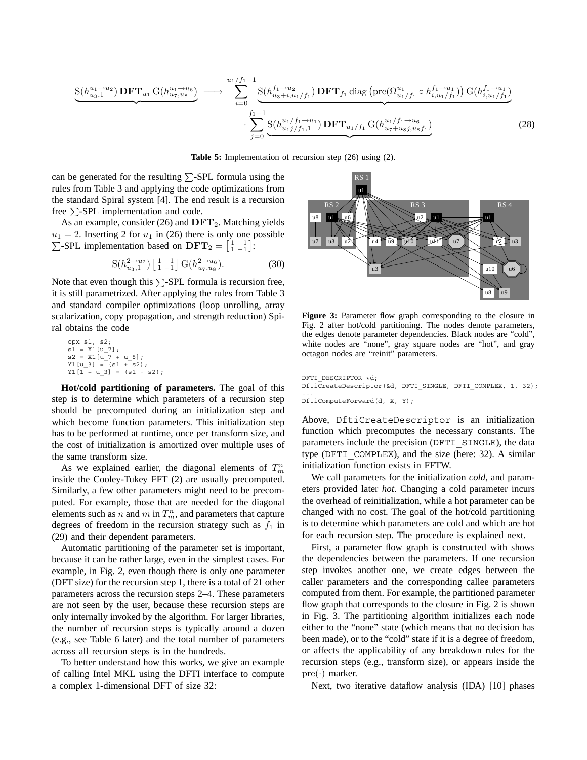$$
\underbrace{S(h_{u_3,1}^{u_1 \to u_2}) \mathbf{DFT}_{u_1} G(h_{u_7,u_8}^{u_1 \to u_6})}_{u_1 \to u_1} \longrightarrow \underbrace{\sum_{i=0}^{u_1/f_1 - 1} S(h_{u_3 + i, u_1/f_1}^{f_1 \to u_2}) \mathbf{DFT}_{f_1} \operatorname{diag} \left(\text{pre}(\Omega_{u_1/f_1}^{u_1} \circ h_{i, u_1/f_1}^{f_1 \to u_1})\right) G(h_{i, u_1/f_1}^{f_1 \to u_1})}_{i=0} - \underbrace{\sum_{j=0}^{u_1/f_1 - u_1} S(h_{u_1 j/f_1,1}^{u_1/f_1 \to u_1}) \mathbf{DFT}_{u_1/f_1} G(h_{u_7 + u_8 j, u_8 f_1}^{u_1/f_1 \to u_6})}_{u_7 \to u_7 \to u_8} \tag{28}
$$

**Table 5:** Implementation of recursion step (26) using (2).

can be generated for the resulting  $\Sigma$ -SPL formula using the rules from Table 3 and applying the code optimizations from the standard Spiral system [4]. The end result is a recursion free  $\Sigma$ -SPL implementation and code.

As an example, consider (26) and **DFT**2. Matching yields  $u_1 = 2$ . Inserting 2 for  $u_1$  in (26) there is only one possible  $\Sigma$ -SPL implementation based on  $\text{DFT}_2 = \begin{bmatrix} 1 & 1 \\ 1 & -1 \end{bmatrix}$ :

$$
S(h_{u_3,1}^{2 \to u_2}) \left[ \begin{smallmatrix} 1 & 1 \\ 1 & -1 \end{smallmatrix} \right] G(h_{u_7,u_8}^{2 \to u_6}). \tag{30}
$$

Note that even though this  $\Sigma$ -SPL formula is recursion free, it is still parametrized. After applying the rules from Table 3 and standard compiler optimizations (loop unrolling, array scalarization, copy propagation, and strength reduction) Spiral obtains the code

cpx s1, s2; s1 = X1[u\_7]; s2 = X1[u\_7 + u\_8]; Y1[u\_3] = (s1 + s2); Y1[1 + u\_3] = (s1 - s2);

**Hot/cold partitioning of parameters.** The goal of this step is to determine which parameters of a recursion step should be precomputed during an initialization step and which become function parameters. This initialization step has to be performed at runtime, once per transform size, and the cost of initialization is amortized over multiple uses of the same transform size.

As we explained earlier, the diagonal elements of  $T_m^n$ inside the Cooley-Tukey FFT (2) are usually precomputed. Similarly, a few other parameters might need to be precomputed. For example, those that are needed for the diagonal elements such as n and  $m$  in  $T_m^n$ , and parameters that capture degrees of freedom in the recursion strategy such as  $f_1$  in (29) and their dependent parameters.

Automatic partitioning of the parameter set is important, because it can be rather large, even in the simplest cases. For example, in Fig. 2, even though there is only one parameter (DFT size) for the recursion step 1, there is a total of 21 other parameters across the recursion steps 2–4. These parameters are not seen by the user, because these recursion steps are only internally invoked by the algorithm. For larger libraries, the number of recursion steps is typically around a dozen (e.g., see Table 6 later) and the total number of parameters across all recursion steps is in the hundreds.

To better understand how this works, we give an example of calling Intel MKL using the DFTI interface to compute a complex 1-dimensional DFT of size 32:



**Figure 3:** Parameter flow graph corresponding to the closure in Fig. 2 after hot/cold partitioning. The nodes denote parameters, the edges denote parameter dependencies. Black nodes are "cold", white nodes are "none", gray square nodes are "hot", and gray octagon nodes are "reinit" parameters.

DFTI\_DESCRIPTOR \*d; DftiCreateDescriptor(&d, DFTI\_SINGLE, DFTI\_COMPLEX, 1, 32); ... DftiComputeForward(d, X, Y);

Above, DftiCreateDescriptor is an initialization function which precomputes the necessary constants. The parameters include the precision (DFTI\_SINGLE), the data type (DFTI\_COMPLEX), and the size (here: 32). A similar initialization function exists in FFTW.

We call parameters for the initialization *cold*, and parameters provided later *hot*. Changing a cold parameter incurs the overhead of reinitialization, while a hot parameter can be changed with no cost. The goal of the hot/cold partitioning is to determine which parameters are cold and which are hot for each recursion step. The procedure is explained next.

First, a parameter flow graph is constructed with shows the dependencies between the parameters. If one recursion step invokes another one, we create edges between the caller parameters and the corresponding callee parameters computed from them. For example, the partitioned parameter flow graph that corresponds to the closure in Fig. 2 is shown in Fig. 3. The partitioning algorithm initializes each node either to the "none" state (which means that no decision has been made), or to the "cold" state if it is a degree of freedom, or affects the applicability of any breakdown rules for the recursion steps (e.g., transform size), or appears inside the  $pre(\cdot)$  marker.

Next, two iterative dataflow analysis (IDA) [10] phases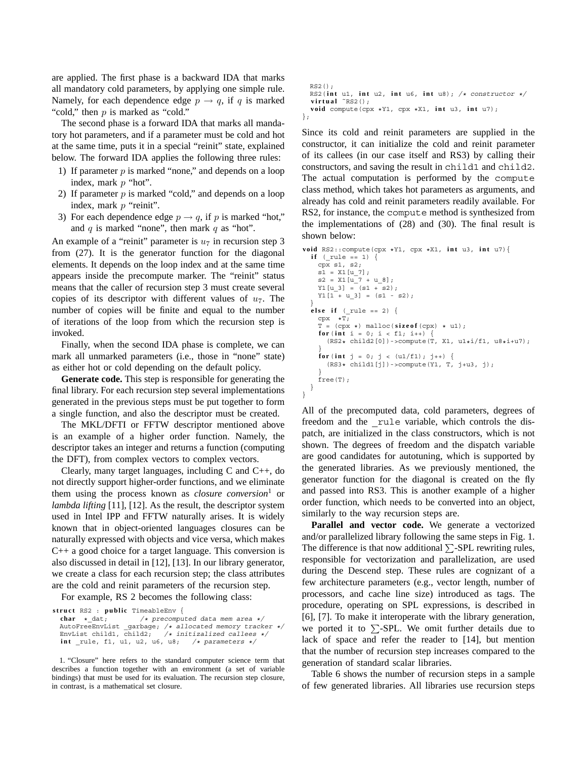are applied. The first phase is a backward IDA that marks all mandatory cold parameters, by applying one simple rule. Namely, for each dependence edge  $p \rightarrow q$ , if q is marked "cold," then p is marked as "cold."

The second phase is a forward IDA that marks all mandatory hot parameters, and if a parameter must be cold and hot at the same time, puts it in a special "reinit" state, explained below. The forward IDA applies the following three rules:

- 1) If parameter  $p$  is marked "none," and depends on a loop index, mark p "hot".
- 2) If parameter  $p$  is marked "cold," and depends on a loop index, mark p "reinit".
- 3) For each dependence edge  $p \rightarrow q$ , if p is marked "hot," and  $q$  is marked "none", then mark  $q$  as "hot".

An example of a "reinit" parameter is  $u_7$  in recursion step 3 from (27). It is the generator function for the diagonal elements. It depends on the loop index and at the same time appears inside the precompute marker. The "reinit" status means that the caller of recursion step 3 must create several copies of its descriptor with different values of  $u_7$ . The number of copies will be finite and equal to the number of iterations of the loop from which the recursion step is invoked.

Finally, when the second IDA phase is complete, we can mark all unmarked parameters (i.e., those in "none" state) as either hot or cold depending on the default policy.

**Generate code.** This step is responsible for generating the final library. For each recursion step several implementations generated in the previous steps must be put together to form a single function, and also the descriptor must be created.

The MKL/DFTI or FFTW descriptor mentioned above is an example of a higher order function. Namely, the descriptor takes an integer and returns a function (computing the DFT), from complex vectors to complex vectors.

Clearly, many target languages, including C and C++, do not directly support higher-order functions, and we eliminate them using the process known as *closure conversion*<sup>1</sup> or *lambda lifting* [11], [12]. As the result, the descriptor system used in Intel IPP and FFTW naturally arises. It is widely known that in object-oriented languages closures can be naturally expressed with objects and vice versa, which makes C++ a good choice for a target language. This conversion is also discussed in detail in [12], [13]. In our library generator, we create a class for each recursion step; the class attributes are the cold and reinit parameters of the recursion step.

For example, RS 2 becomes the following class:

```
struct RS2 : public TimeableEnv {<br>char * dat; /* precompu
```

```
/* precomputed data mem area */
AutoFreeEnvList _garbage; /* allocated memory tracker */
EnvList child1, \overline{child2}; /* initizalized callees */
int rule, f1, u1, u2, u6, u8; /* parameters */
```
1. "Closure" here refers to the standard computer science term that describes a function together with an environment (a set of variable bindings) that must be used for its evaluation. The recursion step closure, in contrast, is a mathematical set closure.

```
RS2();
 RS2( int u1, int u2, int u6, int u8); /* constructor */
  virtual ˜RS2();
 void compute(cpx *Y1, cpx *X1, int u3, int u7);
};
```
Since its cold and reinit parameters are supplied in the constructor, it can initialize the cold and reinit parameter of its callees (in our case itself and RS3) by calling their constructors, and saving the result in child1 and child2. The actual computation is performed by the compute class method, which takes hot parameters as arguments, and already has cold and reinit parameters readily available. For RS2, for instance, the compute method is synthesized from the implementations of (28) and (30). The final result is shown below:

```
void RS2::compute(cpx *Y1, cpx *X1, int u3, int u7){
  if (rule == 1) {
    cpx s1, s2;
    s1 = X1[u 7];s2 = X1[u_7 + u_8];Y1[u_3] = (s1 + s2);Y1[1 + u_3] = (s1 - s2);}
  else if (_rule == 2) {
    cpx \t xT;
    \texttt{T = (cpx ~\star) \text{ malloc}(\textbf{sizeof}(\text{cpx}) ~\star~\text{u1});}for(\text{int } i = 0; i < f1; i++)(RS2* child2[0]) - \text{compute}(\dot{T}, X1, u1*i/f1, u8*i+u7);}
     for(int j = 0; j < (u1/f1); j++)(RS3* child1[j]) ->compute(Y1, T, j+u3, j);
     }
    free(T);
  }
}
```
All of the precomputed data, cold parameters, degrees of freedom and the \_rule variable, which controls the dispatch, are initialized in the class constructors, which is not shown. The degrees of freedom and the dispatch variable are good candidates for autotuning, which is supported by the generated libraries. As we previously mentioned, the generator function for the diagonal is created on the fly and passed into RS3. This is another example of a higher order function, which needs to be converted into an object, similarly to the way recursion steps are.

Parallel and vector code. We generate a vectorized and/or parallelized library following the same steps in Fig. 1. The difference is that now additional  $\Sigma$ -SPL rewriting rules, responsible for vectorization and parallelization, are used during the Descend step. These rules are cognizant of a few architecture parameters (e.g., vector length, number of processors, and cache line size) introduced as tags. The procedure, operating on SPL expressions, is described in [6], [7]. To make it interoperate with the library generation, we ported it to  $\Sigma$ -SPL. We omit further details due to lack of space and refer the reader to [14], but mention that the number of recursion step increases compared to the generation of standard scalar libraries.

Table 6 shows the number of recursion steps in a sample of few generated libraries. All libraries use recursion steps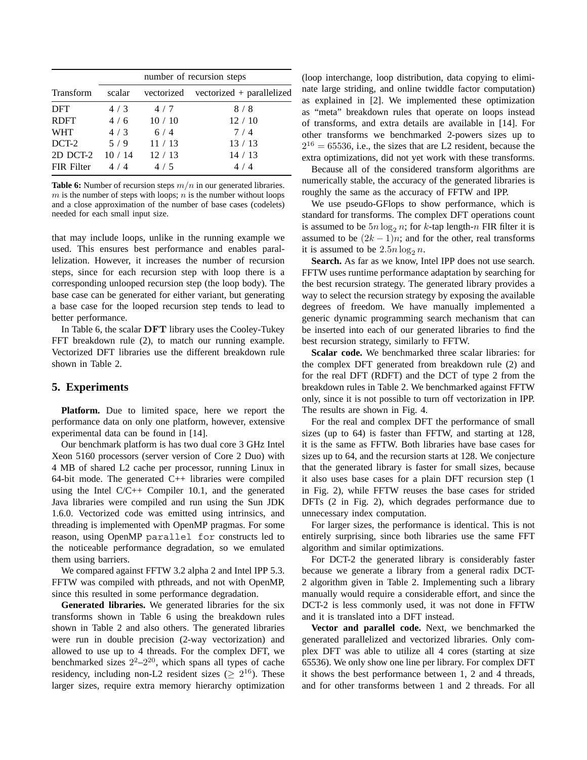|             | number of recursion steps |       |                                      |
|-------------|---------------------------|-------|--------------------------------------|
| Transform   | scalar                    |       | vectorized vectorized + parallelized |
| <b>DFT</b>  | 4/3                       | 4/7   | 8/8                                  |
| <b>RDFT</b> | 4/6                       | 10/10 | 12/10                                |
| <b>WHT</b>  | 4/3                       | 6/4   | 7/4                                  |
| DCT-2       | 5/9                       | 11/13 | 13/13                                |
| 2D DCT-2    | 10/14                     | 12/13 | 14/13                                |
| FIR Filter  | 4/4                       | 4/5   | 4/4                                  |

**Table 6:** Number of recursion steps *m/n* in our generated libraries.  $m$  is the number of steps with loops;  $n$  is the number without loops and a close approximation of the number of base cases (codelets) needed for each small input size.

that may include loops, unlike in the running example we used. This ensures best performance and enables parallelization. However, it increases the number of recursion steps, since for each recursion step with loop there is a corresponding unlooped recursion step (the loop body). The base case can be generated for either variant, but generating a base case for the looped recursion step tends to lead to better performance.

In Table 6, the scalar **DFT** library uses the Cooley-Tukey FFT breakdown rule (2), to match our running example. Vectorized DFT libraries use the different breakdown rule shown in Table 2.

### **5. Experiments**

**Platform.** Due to limited space, here we report the performance data on only one platform, however, extensive experimental data can be found in [14].

Our benchmark platform is has two dual core 3 GHz Intel Xeon 5160 processors (server version of Core 2 Duo) with 4 MB of shared L2 cache per processor, running Linux in 64-bit mode. The generated C++ libraries were compiled using the Intel C/C++ Compiler 10.1, and the generated Java libraries were compiled and run using the Sun JDK 1.6.0. Vectorized code was emitted using intrinsics, and threading is implemented with OpenMP pragmas. For some reason, using OpenMP parallel for constructs led to the noticeable performance degradation, so we emulated them using barriers.

We compared against FFTW 3.2 alpha 2 and Intel IPP 5.3. FFTW was compiled with pthreads, and not with OpenMP, since this resulted in some performance degradation.

**Generated libraries.** We generated libraries for the six transforms shown in Table 6 using the breakdown rules shown in Table 2 and also others. The generated libraries were run in double precision (2-way vectorization) and allowed to use up to 4 threads. For the complex DFT, we benchmarked sizes  $2^2-2^{20}$ , which spans all types of cache residency, including non-L2 resident sizes ( $> 2^{16}$ ). These larger sizes, require extra memory hierarchy optimization (loop interchange, loop distribution, data copying to eliminate large striding, and online twiddle factor computation) as explained in [2]. We implemented these optimization as "meta" breakdown rules that operate on loops instead of transforms, and extra details are available in [14]. For other transforms we benchmarked 2-powers sizes up to  $2^{16} = 65536$ , i.e., the sizes that are L2 resident, because the extra optimizations, did not yet work with these transforms.

Because all of the considered transform algorithms are numerically stable, the accuracy of the generated libraries is roughly the same as the accuracy of FFTW and IPP.

We use pseudo-GFlops to show performance, which is standard for transforms. The complex DFT operations count is assumed to be  $5n \log_2 n$ ; for k-tap length-n FIR filter it is assumed to be  $(2k - 1)n$ ; and for the other, real transforms it is assumed to be  $2.5n \log_2 n$ .

**Search.** As far as we know, Intel IPP does not use search. FFTW uses runtime performance adaptation by searching for the best recursion strategy. The generated library provides a way to select the recursion strategy by exposing the available degrees of freedom. We have manually implemented a generic dynamic programming search mechanism that can be inserted into each of our generated libraries to find the best recursion strategy, similarly to FFTW.

**Scalar code.** We benchmarked three scalar libraries: for the complex DFT generated from breakdown rule (2) and for the real DFT (RDFT) and the DCT of type 2 from the breakdown rules in Table 2. We benchmarked against FFTW only, since it is not possible to turn off vectorization in IPP. The results are shown in Fig. 4.

For the real and complex DFT the performance of small sizes (up to 64) is faster than FFTW, and starting at 128, it is the same as FFTW. Both libraries have base cases for sizes up to 64, and the recursion starts at 128. We conjecture that the generated library is faster for small sizes, because it also uses base cases for a plain DFT recursion step (1 in Fig. 2), while FFTW reuses the base cases for strided DFTs (2 in Fig. 2), which degrades performance due to unnecessary index computation.

For larger sizes, the performance is identical. This is not entirely surprising, since both libraries use the same FFT algorithm and similar optimizations.

For DCT-2 the generated library is considerably faster because we generate a library from a general radix DCT-2 algorithm given in Table 2. Implementing such a library manually would require a considerable effort, and since the DCT-2 is less commonly used, it was not done in FFTW and it is translated into a DFT instead.

**Vector and parallel code.** Next, we benchmarked the generated parallelized and vectorized libraries. Only complex DFT was able to utilize all 4 cores (starting at size 65536). We only show one line per library. For complex DFT it shows the best performance between 1, 2 and 4 threads, and for other transforms between 1 and 2 threads. For all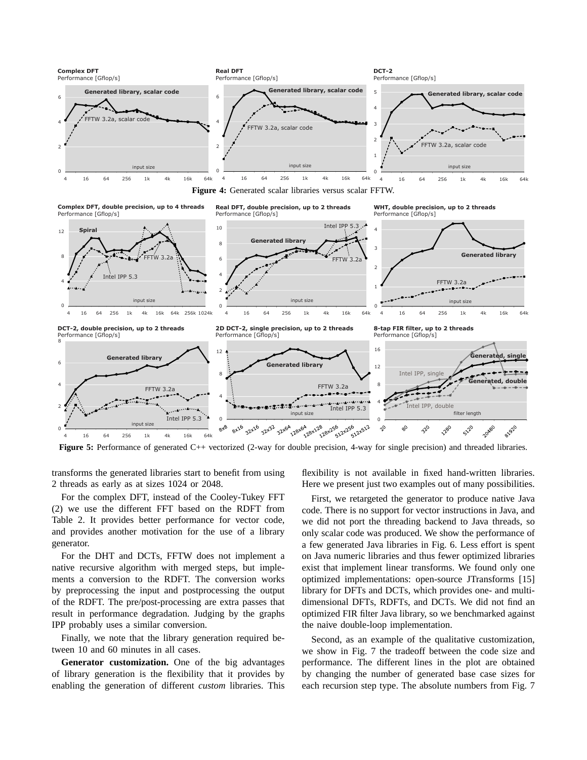



**Figure 5:** Performance of generated C++ vectorized (2-way for double precision, 4-way for single precision) and threaded libraries.

transforms the generated libraries start to benefit from using 2 threads as early as at sizes 1024 or 2048.

For the complex DFT, instead of the Cooley-Tukey FFT (2) we use the different FFT based on the RDFT from Table 2. It provides better performance for vector code, and provides another motivation for the use of a library generator.

For the DHT and DCTs, FFTW does not implement a native recursive algorithm with merged steps, but implements a conversion to the RDFT. The conversion works by preprocessing the input and postprocessing the output of the RDFT. The pre/post-processing are extra passes that result in performance degradation. Judging by the graphs IPP probably uses a similar conversion.

Finally, we note that the library generation required between 10 and 60 minutes in all cases.

**Generator customization.** One of the big advantages of library generation is the flexibility that it provides by enabling the generation of different *custom* libraries. This flexibility is not available in fixed hand-written libraries. Here we present just two examples out of many possibilities.

First, we retargeted the generator to produce native Java code. There is no support for vector instructions in Java, and we did not port the threading backend to Java threads, so only scalar code was produced. We show the performance of a few generated Java libraries in Fig. 6. Less effort is spent on Java numeric libraries and thus fewer optimized libraries exist that implement linear transforms. We found only one optimized implementations: open-source JTransforms [15] library for DFTs and DCTs, which provides one- and multidimensional DFTs, RDFTs, and DCTs. We did not find an optimized FIR filter Java library, so we benchmarked against the naive double-loop implementation.

Second, as an example of the qualitative customization, we show in Fig. 7 the tradeoff between the code size and performance. The different lines in the plot are obtained by changing the number of generated base case sizes for each recursion step type. The absolute numbers from Fig. 7